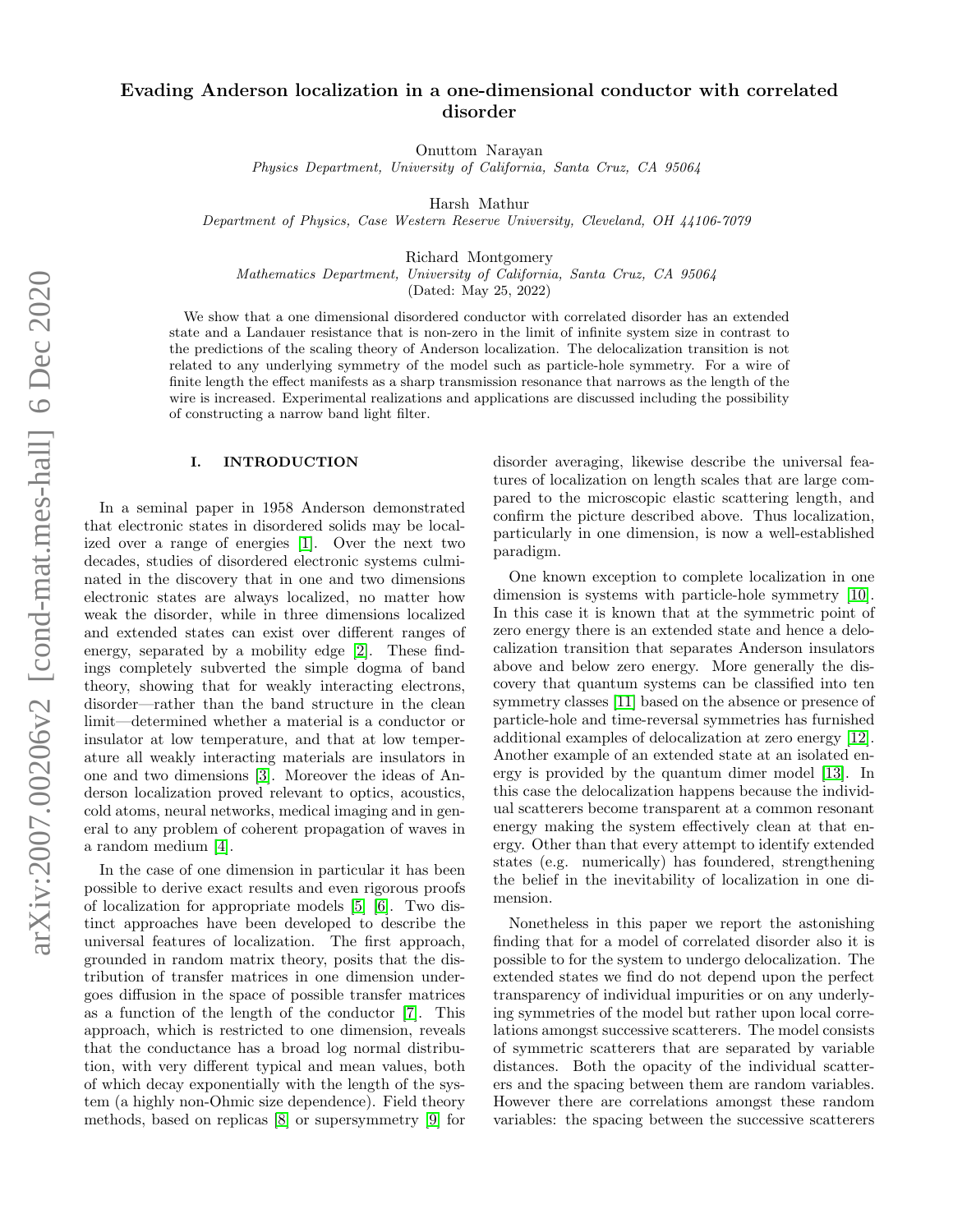# Evading Anderson localization in a one-dimensional conductor with correlated disorder

Onuttom Narayan

Physics Department, University of California, Santa Cruz, CA 95064

Harsh Mathur

Department of Physics, Case Western Reserve University, Cleveland, OH 44106-7079

Richard Montgomery

Mathematics Department, University of California, Santa Cruz, CA 95064

(Dated: May 25, 2022)

We show that a one dimensional disordered conductor with correlated disorder has an extended state and a Landauer resistance that is non-zero in the limit of infinite system size in contrast to the predictions of the scaling theory of Anderson localization. The delocalization transition is not related to any underlying symmetry of the model such as particle-hole symmetry. For a wire of finite length the effect manifests as a sharp transmission resonance that narrows as the length of the wire is increased. Experimental realizations and applications are discussed including the possibility of constructing a narrow band light filter.

# I. INTRODUCTION

In a seminal paper in 1958 Anderson demonstrated that electronic states in disordered solids may be localized over a range of energies [\[1\]](#page-5-0). Over the next two decades, studies of disordered electronic systems culminated in the discovery that in one and two dimensions electronic states are always localized, no matter how weak the disorder, while in three dimensions localized and extended states can exist over different ranges of energy, separated by a mobility edge [\[2\]](#page-5-1). These findings completely subverted the simple dogma of band theory, showing that for weakly interacting electrons, disorder—rather than the band structure in the clean limit—determined whether a material is a conductor or insulator at low temperature, and that at low temperature all weakly interacting materials are insulators in one and two dimensions [\[3\]](#page-5-2). Moreover the ideas of Anderson localization proved relevant to optics, acoustics, cold atoms, neural networks, medical imaging and in general to any problem of coherent propagation of waves in a random medium [\[4\]](#page-5-3).

In the case of one dimension in particular it has been possible to derive exact results and even rigorous proofs of localization for appropriate models [\[5\]](#page-5-4) [\[6\]](#page-5-5). Two distinct approaches have been developed to describe the universal features of localization. The first approach, grounded in random matrix theory, posits that the distribution of transfer matrices in one dimension undergoes diffusion in the space of possible transfer matrices as a function of the length of the conductor [\[7\]](#page-5-6). This approach, which is restricted to one dimension, reveals that the conductance has a broad log normal distribution, with very different typical and mean values, both of which decay exponentially with the length of the system (a highly non-Ohmic size dependence). Field theory methods, based on replicas [\[8\]](#page-5-7) or supersymmetry [\[9\]](#page-5-8) for

disorder averaging, likewise describe the universal features of localization on length scales that are large compared to the microscopic elastic scattering length, and confirm the picture described above. Thus localization, particularly in one dimension, is now a well-established paradigm.

One known exception to complete localization in one dimension is systems with particle-hole symmetry [\[10\]](#page-5-9). In this case it is known that at the symmetric point of zero energy there is an extended state and hence a delocalization transition that separates Anderson insulators above and below zero energy. More generally the discovery that quantum systems can be classified into ten symmetry classes [\[11\]](#page-5-10) based on the absence or presence of particle-hole and time-reversal symmetries has furnished additional examples of delocalization at zero energy [\[12\]](#page-5-11). Another example of an extended state at an isolated energy is provided by the quantum dimer model [\[13\]](#page-5-12). In this case the delocalization happens because the individual scatterers become transparent at a common resonant energy making the system effectively clean at that energy. Other than that every attempt to identify extended states (e.g. numerically) has foundered, strengthening the belief in the inevitability of localization in one dimension.

Nonetheless in this paper we report the astonishing finding that for a model of correlated disorder also it is possible to for the system to undergo delocalization. The extended states we find do not depend upon the perfect transparency of individual impurities or on any underlying symmetries of the model but rather upon local correlations amongst successive scatterers. The model consists of symmetric scatterers that are separated by variable distances. Both the opacity of the individual scatterers and the spacing between them are random variables. However there are correlations amongst these random variables: the spacing between the successive scatterers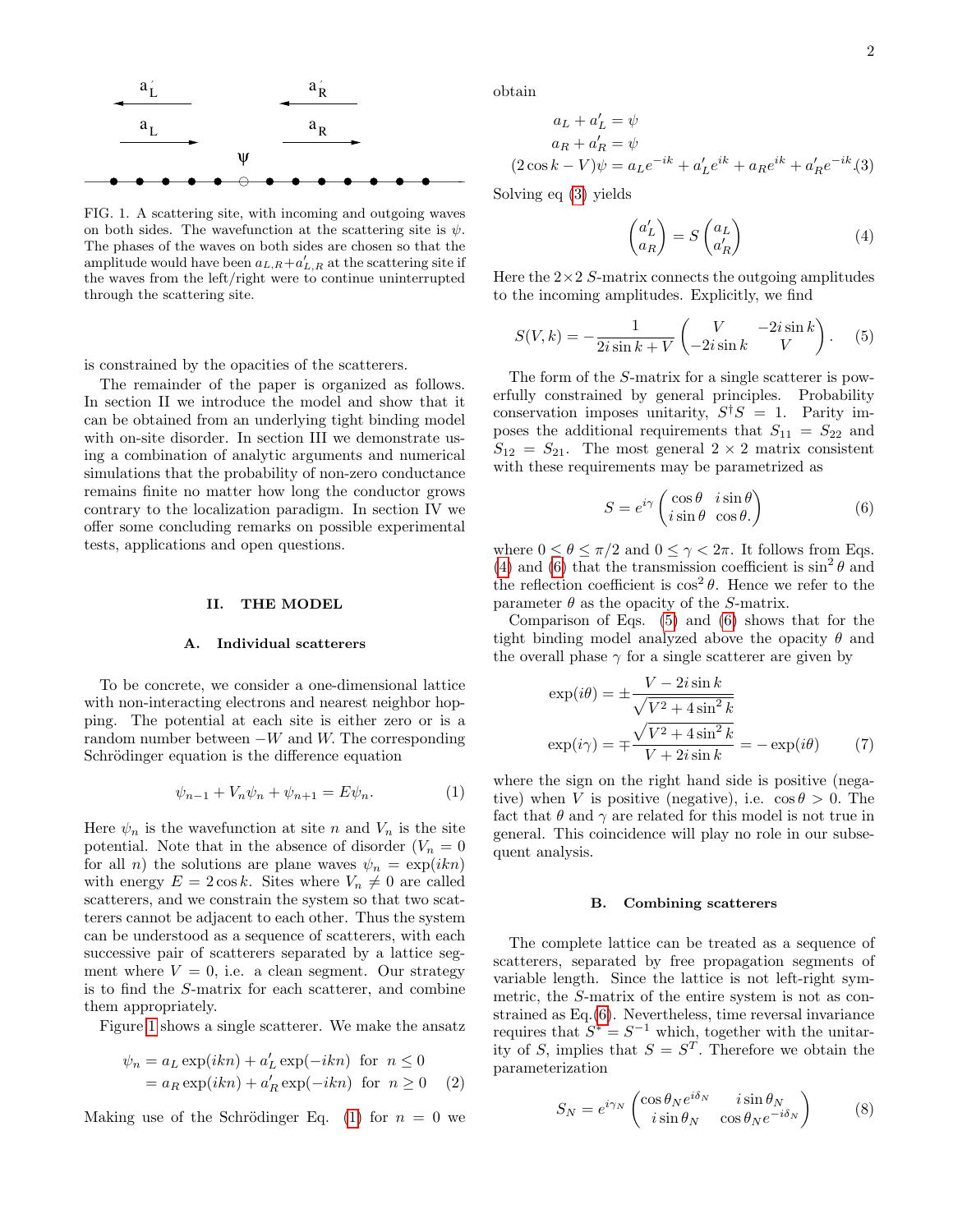

<span id="page-1-0"></span>FIG. 1. A scattering site, with incoming and outgoing waves on both sides. The wavefunction at the scattering site is  $\psi$ . The phases of the waves on both sides are chosen so that the amplitude would have been  $a_{L,R} + a'_{L,R}$  at the scattering site if the waves from the left/right were to continue uninterrupted through the scattering site.

is constrained by the opacities of the scatterers.

The remainder of the paper is organized as follows. In section II we introduce the model and show that it can be obtained from an underlying tight binding model with on-site disorder. In section III we demonstrate using a combination of analytic arguments and numerical simulations that the probability of non-zero conductance remains finite no matter how long the conductor grows contrary to the localization paradigm. In section IV we offer some concluding remarks on possible experimental tests, applications and open questions.

#### II. THE MODEL

#### <span id="page-1-7"></span>A. Individual scatterers

To be concrete, we consider a one-dimensional lattice with non-interacting electrons and nearest neighbor hopping. The potential at each site is either zero or is a random number between  $-W$  and W. The corresponding Schrödinger equation is the difference equation

<span id="page-1-1"></span>
$$
\psi_{n-1} + V_n \psi_n + \psi_{n+1} = E \psi_n.
$$
 (1)

Here  $\psi_n$  is the wavefunction at site n and  $V_n$  is the site potential. Note that in the absence of disorder  $(V_n = 0)$ for all *n*) the solutions are plane waves  $\psi_n = \exp(ikn)$ with energy  $E = 2 \cos k$ . Sites where  $V_n \neq 0$  are called scatterers, and we constrain the system so that two scatterers cannot be adjacent to each other. Thus the system can be understood as a sequence of scatterers, with each successive pair of scatterers separated by a lattice segment where  $V = 0$ , i.e. a clean segment. Our strategy is to find the S-matrix for each scatterer, and combine them appropriately.

Figure [1](#page-1-0) shows a single scatterer. We make the ansatz

$$
\psi_n = a_L \exp(ikn) + a'_L \exp(-ikn)
$$
 for  $n \le 0$   
=  $a_R \exp(ikn) + a'_R \exp(-ikn)$  for  $n \ge 0$  (2)

Making use of the Schrödinger Eq. [\(1\)](#page-1-1) for  $n = 0$  we

obtain

<span id="page-1-2"></span>
$$
aL + a'L = \psi
$$
  
\n
$$
aR + a'R = \psi
$$
  
\n
$$
(2 \cos k - V)\psi = aLe^{-ik} + a'Le^{ik} + aRee^{ik} + a'Ree^{-ik}(3)
$$

Solving eq [\(3\)](#page-1-2) yields

<span id="page-1-3"></span>
$$
\begin{pmatrix} a'_L \\ a_R \end{pmatrix} = S \begin{pmatrix} a_L \\ a'_R \end{pmatrix} \tag{4}
$$

Here the  $2\times 2$  S-matrix connects the outgoing amplitudes to the incoming amplitudes. Explicitly, we find

<span id="page-1-5"></span>
$$
S(V,k) = -\frac{1}{2i\sin k + V} \begin{pmatrix} V & -2i\sin k \\ -2i\sin k & V \end{pmatrix}.
$$
 (5)

The form of the S-matrix for a single scatterer is powerfully constrained by general principles. Probability conservation imposes unitarity,  $S^{\dagger}S = 1$ . Parity imposes the additional requirements that  $S_{11} = S_{22}$  and  $S_{12} = S_{21}$ . The most general  $2 \times 2$  matrix consistent with these requirements may be parametrized as

<span id="page-1-4"></span>
$$
S = e^{i\gamma} \begin{pmatrix} \cos \theta & i \sin \theta \\ i \sin \theta & \cos \theta \end{pmatrix}
$$
 (6)

where  $0 \le \theta \le \pi/2$  and  $0 \le \gamma < 2\pi$ . It follows from Eqs. [\(4\)](#page-1-3) and [\(6\)](#page-1-4) that the transmission coefficient is  $\sin^2 \theta$  and the reflection coefficient is  $\cos^2 \theta$ . Hence we refer to the parameter  $\theta$  as the opacity of the S-matrix.

Comparison of Eqs. [\(5\)](#page-1-5) and [\(6\)](#page-1-4) shows that for the tight binding model analyzed above the opacity  $\theta$  and the overall phase  $\gamma$  for a single scatterer are given by

<span id="page-1-6"></span>
$$
\exp(i\theta) = \pm \frac{V - 2i\sin k}{\sqrt{V^2 + 4\sin^2 k}}
$$

$$
\exp(i\gamma) = \pm \frac{\sqrt{V^2 + 4\sin^2 k}}{V + 2i\sin k} = -\exp(i\theta) \tag{7}
$$

where the sign on the right hand side is positive (negative) when V is positive (negative), i.e.  $\cos \theta > 0$ . The fact that  $\theta$  and  $\gamma$  are related for this model is not true in general. This coincidence will play no role in our subsequent analysis.

#### B. Combining scatterers

The complete lattice can be treated as a sequence of scatterers, separated by free propagation segments of variable length. Since the lattice is not left-right symmetric, the S-matrix of the entire system is not as constrained as Eq.[\(6\)](#page-1-4). Nevertheless, time reversal invariance requires that  $S^* = S^{-1}$  which, together with the unitarity of S, implies that  $S = S<sup>T</sup>$ . Therefore we obtain the parameterization

$$
S_N = e^{i\gamma_N} \begin{pmatrix} \cos \theta_N e^{i\delta_N} & i \sin \theta_N \\ i \sin \theta_N & \cos \theta_N e^{-i\delta_N} \end{pmatrix} \tag{8}
$$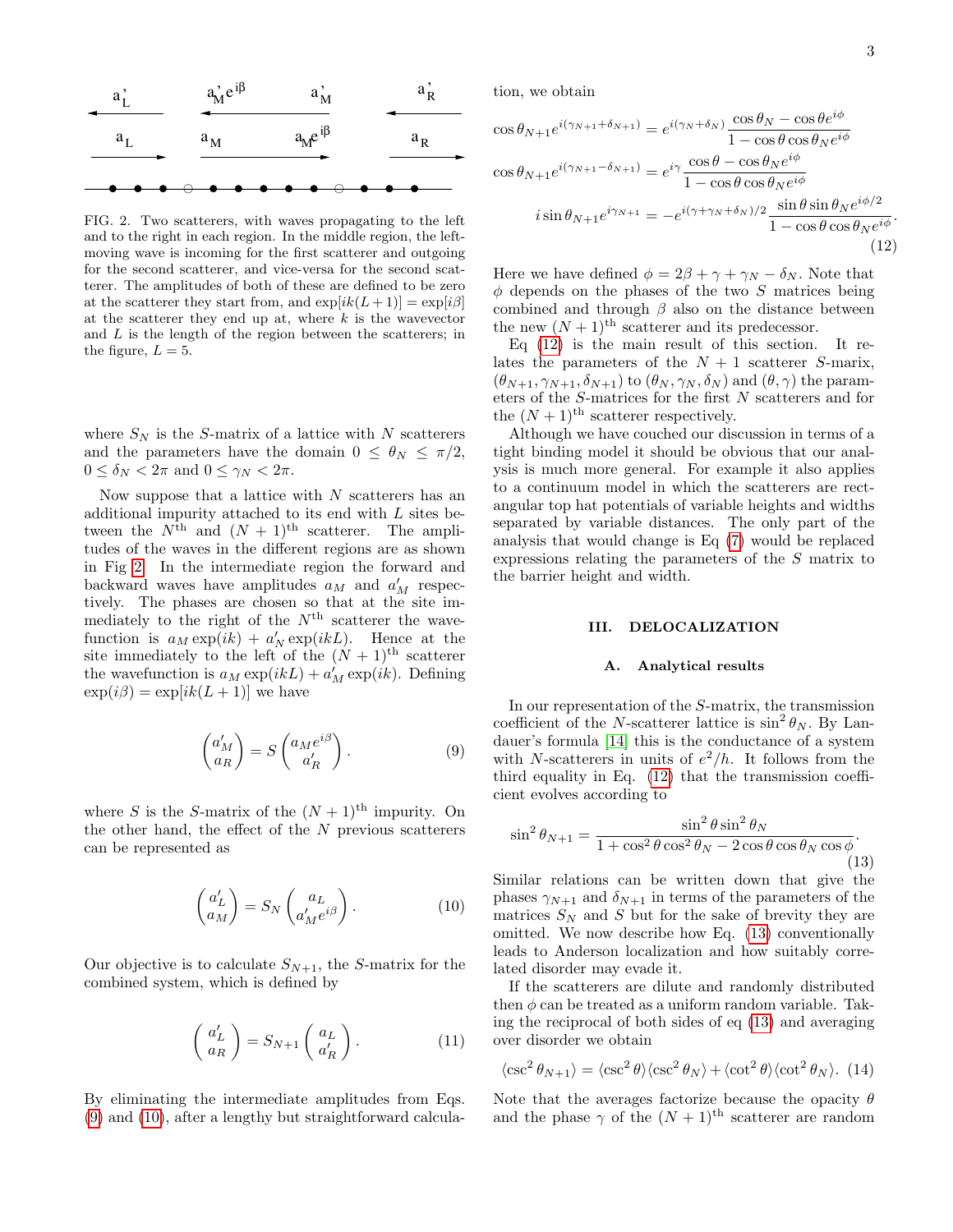

<span id="page-2-0"></span>FIG. 2. Two scatterers, with waves propagating to the left and to the right in each region. In the middle region, the leftmoving wave is incoming for the first scatterer and outgoing for the second scatterer, and vice-versa for the second scatterer. The amplitudes of both of these are defined to be zero at the scatterer they start from, and  $\exp[ik(L+1)] = \exp[i\beta]$ at the scatterer they end up at, where  $k$  is the wavevector and  $L$  is the length of the region between the scatterers; in the figure,  $L = 5$ .

where  $S_N$  is the S-matrix of a lattice with N scatterers and the parameters have the domain  $0 \leq \theta_N \leq \pi/2$ ,  $0 \leq \delta_N < 2\pi$  and  $0 \leq \gamma_N < 2\pi$ .

Now suppose that a lattice with  $N$  scatterers has an additional impurity attached to its end with L sites between the  $N^{\text{th}}$  and  $(N + 1)^{\text{th}}$  scatterer. The amplitudes of the waves in the different regions are as shown in Fig [2.](#page-2-0) In the intermediate region the forward and backward waves have amplitudes  $a_M$  and  $a'_M$  respectively. The phases are chosen so that at the site immediately to the right of the  $N<sup>th</sup>$  scatterer the wavefunction is  $a_M \exp(ik) + a'_N \exp(ikL)$ . Hence at the site immediately to the left of the  $(N + 1)$ <sup>th</sup> scatterer the wavefunction is  $a_M \exp(ikL) + a_M' \exp(ik)$ . Defining  $\exp(i\beta) = \exp[ik(L+1)]$  we have

<span id="page-2-1"></span>
$$
\begin{pmatrix} a'_M \\ a_R \end{pmatrix} = S \begin{pmatrix} a_M e^{i\beta} \\ a'_R \end{pmatrix} . \tag{9}
$$

where S is the S-matrix of the  $(N + 1)$ <sup>th</sup> impurity. On the other hand, the effect of the  $N$  previous scatterers can be represented as

<span id="page-2-2"></span>
$$
\begin{pmatrix} a'_L \\ a_M \end{pmatrix} = S_N \begin{pmatrix} a_L \\ a'_M e^{i\beta} \end{pmatrix} . \tag{10}
$$

Our objective is to calculate  $S_{N+1}$ , the S-matrix for the combined system, which is defined by

$$
\begin{pmatrix} a'_L \\ a_R \end{pmatrix} = S_{N+1} \begin{pmatrix} a_L \\ a'_R \end{pmatrix} . \tag{11}
$$

By eliminating the intermediate amplitudes from Eqs. [\(9\)](#page-2-1) and [\(10\)](#page-2-2), after a lengthy but straightforward calculation, we obtain

<span id="page-2-3"></span>
$$
\cos \theta_{N+1} e^{i(\gamma_{N+1} + \delta_{N+1})} = e^{i(\gamma_N + \delta_N)} \frac{\cos \theta_N - \cos \theta e^{i\phi}}{1 - \cos \theta \cos \theta_N e^{i\phi}}
$$

$$
\cos \theta_{N+1} e^{i(\gamma_{N+1} - \delta_{N+1})} = e^{i\gamma} \frac{\cos \theta - \cos \theta_N e^{i\phi}}{1 - \cos \theta \cos \theta_N e^{i\phi}}
$$

$$
i \sin \theta_{N+1} e^{i\gamma_{N+1}} = -e^{i(\gamma + \gamma_N + \delta_N)/2} \frac{\sin \theta \sin \theta_N e^{i\phi/2}}{1 - \cos \theta \cos \theta_N e^{i\phi}}.
$$
(12)

Here we have defined  $\phi = 2\beta + \gamma + \gamma_N - \delta_N$ . Note that  $\phi$  depends on the phases of the two S matrices being combined and through  $\beta$  also on the distance between the new  $(N + 1)$ <sup>th</sup> scatterer and its predecessor.

Eq  $(12)$  is the main result of this section. It relates the parameters of the  $N + 1$  scatterer S-marix,  $(\theta_{N+1}, \gamma_{N+1}, \delta_{N+1})$  to  $(\theta_N, \gamma_N, \delta_N)$  and  $(\theta, \gamma)$  the parameters of the S-matrices for the first N scatterers and for the  $(N+1)$ <sup>th</sup> scatterer respectively.

Although we have couched our discussion in terms of a tight binding model it should be obvious that our analysis is much more general. For example it also applies to a continuum model in which the scatterers are rectangular top hat potentials of variable heights and widths separated by variable distances. The only part of the analysis that would change is Eq [\(7\)](#page-1-6) would be replaced expressions relating the parameters of the S matrix to the barrier height and width.

#### III. DELOCALIZATION

# A. Analytical results

In our representation of the S-matrix, the transmission coefficient of the N-scatterer lattice is  $\sin^2 \theta_N$ . By Landauer's formula [\[14\]](#page-5-13) this is the conductance of a system with N-scatterers in units of  $e^2/h$ . It follows from the third equality in Eq. [\(12\)](#page-2-3) that the transmission coefficient evolves according to

<span id="page-2-4"></span>
$$
\sin^2 \theta_{N+1} = \frac{\sin^2 \theta \sin^2 \theta_N}{1 + \cos^2 \theta \cos^2 \theta_N - 2 \cos \theta \cos \theta_N \cos \phi}.
$$
\n(13)

Similar relations can be written down that give the phases  $\gamma_{N+1}$  and  $\delta_{N+1}$  in terms of the parameters of the matrices  $S_N$  and S but for the sake of brevity they are omitted. We now describe how Eq. [\(13\)](#page-2-4) conventionally leads to Anderson localization and how suitably correlated disorder may evade it.

If the scatterers are dilute and randomly distributed then  $\phi$  can be treated as a uniform random variable. Taking the reciprocal of both sides of eq [\(13\)](#page-2-4) and averaging over disorder we obtain

<span id="page-2-5"></span>
$$
\langle \csc^2 \theta_{N+1} \rangle = \langle \csc^2 \theta \rangle \langle \csc^2 \theta_N \rangle + \langle \cot^2 \theta \rangle \langle \cot^2 \theta_N \rangle. (14)
$$

Note that the averages factorize because the opacity  $\theta$ and the phase  $\gamma$  of the  $(N + 1)$ <sup>th</sup> scatterer are random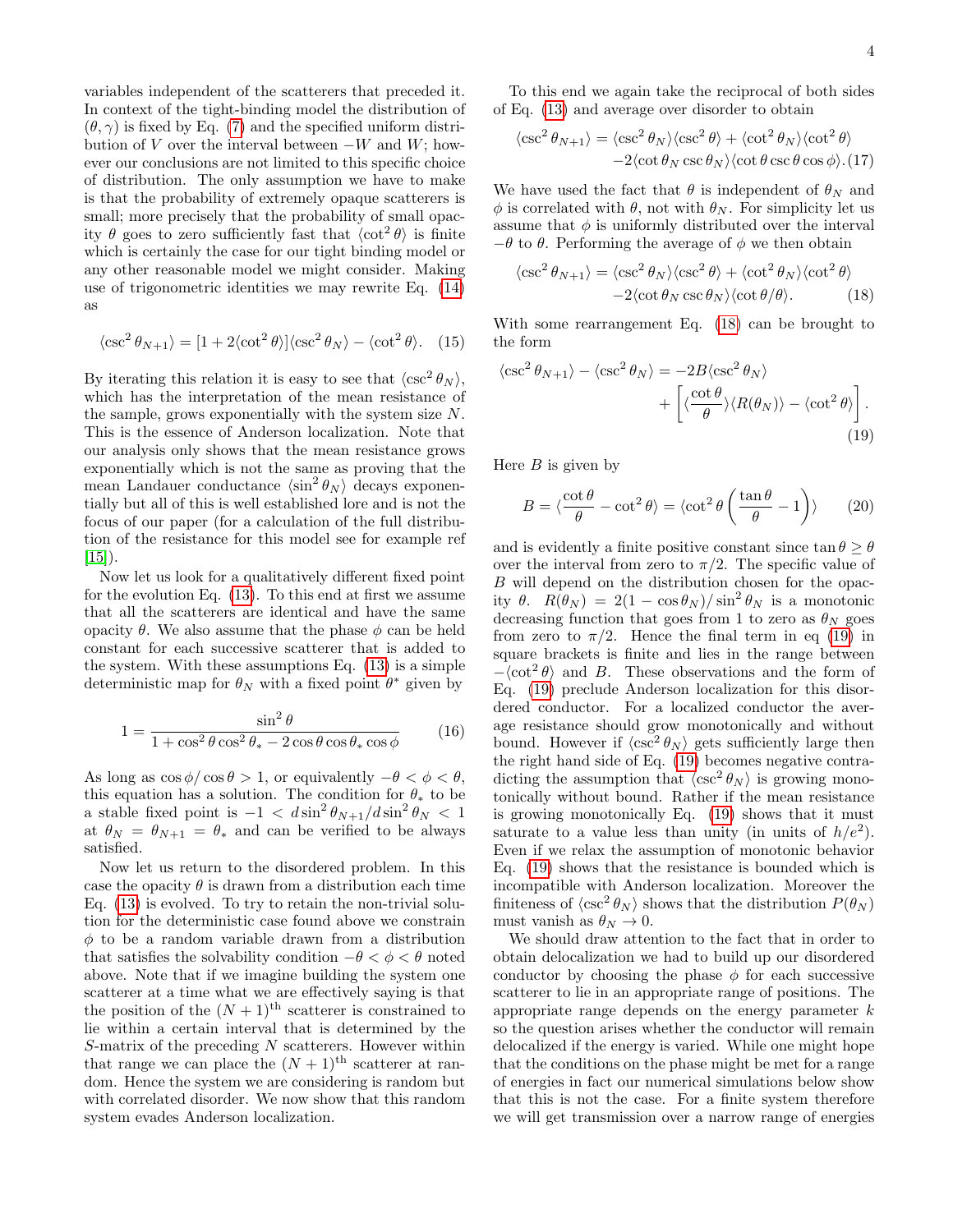variables independent of the scatterers that preceded it. In context of the tight-binding model the distribution of  $(\theta, \gamma)$  is fixed by Eq. [\(7\)](#page-1-6) and the specified uniform distribution of V over the interval between  $-W$  and  $W$ ; however our conclusions are not limited to this specific choice of distribution. The only assumption we have to make is that the probability of extremely opaque scatterers is small; more precisely that the probability of small opacity  $\theta$  goes to zero sufficiently fast that  $\langle \cot^2 \theta \rangle$  is finite which is certainly the case for our tight binding model or any other reasonable model we might consider. Making use of trigonometric identities we may rewrite Eq. [\(14\)](#page-2-5) as

$$
\langle \csc^2 \theta_{N+1} \rangle = [1 + 2 \langle \cot^2 \theta \rangle] \langle \csc^2 \theta_N \rangle - \langle \cot^2 \theta \rangle. \tag{15}
$$

By iterating this relation it is easy to see that  $\langle \csc^2 \theta_N \rangle$ , which has the interpretation of the mean resistance of the sample, grows exponentially with the system size N. This is the essence of Anderson localization. Note that our analysis only shows that the mean resistance grows exponentially which is not the same as proving that the mean Landauer conductance  $\langle \sin^2 \theta_N \rangle$  decays exponentially but all of this is well established lore and is not the focus of our paper (for a calculation of the full distribution of the resistance for this model see for example ref  $|15|$ ).

Now let us look for a qualitatively different fixed point for the evolution Eq. [\(13\)](#page-2-4). To this end at first we assume that all the scatterers are identical and have the same opacity θ. We also assume that the phase  $φ$  can be held constant for each successive scatterer that is added to the system. With these assumptions Eq. [\(13\)](#page-2-4) is a simple deterministic map for  $\theta_N$  with a fixed point  $\theta^*$  given by

$$
1 = \frac{\sin^2 \theta}{1 + \cos^2 \theta \cos^2 \theta_* - 2 \cos \theta \cos \theta_* \cos \phi} \tag{16}
$$

As long as  $\cos \phi / \cos \theta > 1$ , or equivalently  $-\theta < \phi < \theta$ , this equation has a solution. The condition for  $\theta_*$  to be a stable fixed point is  $-1 < d \sin^2 \theta_{N+1}/d \sin^2 \theta_N < 1$ at  $\theta_N = \theta_{N+1} = \theta_*$  and can be verified to be always satisfied.

Now let us return to the disordered problem. In this case the opacity  $\theta$  is drawn from a distribution each time Eq. [\(13\)](#page-2-4) is evolved. To try to retain the non-trivial solution for the deterministic case found above we constrain  $\phi$  to be a random variable drawn from a distribution that satisfies the solvability condition  $-\theta < \phi < \theta$  noted above. Note that if we imagine building the system one scatterer at a time what we are effectively saying is that the position of the  $(N + 1)$ <sup>th</sup> scatterer is constrained to lie within a certain interval that is determined by the  $S$ -matrix of the preceding  $N$  scatterers. However within that range we can place the  $(N+1)$ <sup>th</sup> scatterer at random. Hence the system we are considering is random but with correlated disorder. We now show that this random system evades Anderson localization.

To this end we again take the reciprocal of both sides of Eq. [\(13\)](#page-2-4) and average over disorder to obtain

$$
\langle \csc^2 \theta_{N+1} \rangle = \langle \csc^2 \theta_N \rangle \langle \csc^2 \theta \rangle + \langle \cot^2 \theta_N \rangle \langle \cot^2 \theta \rangle - 2 \langle \cot \theta_N \csc \theta_N \rangle \langle \cot \theta \csc \theta \cos \phi \rangle . (17)
$$

We have used the fact that  $\theta$  is independent of  $\theta_N$  and  $\phi$  is correlated with  $\theta$ , not with  $\theta_N$ . For simplicity let us assume that  $\phi$  is uniformly distributed over the interval  $-\theta$  to  $\theta$ . Performing the average of  $\phi$  we then obtain

<span id="page-3-0"></span>
$$
\langle \csc^2 \theta_{N+1} \rangle = \langle \csc^2 \theta_N \rangle \langle \csc^2 \theta \rangle + \langle \cot^2 \theta_N \rangle \langle \cot^2 \theta \rangle - 2 \langle \cot \theta_N \csc \theta_N \rangle \langle \cot \theta / \theta \rangle.
$$
 (18)

With some rearrangement Eq. [\(18\)](#page-3-0) can be brought to the form

<span id="page-3-1"></span>
$$
\langle \csc^2 \theta_{N+1} \rangle - \langle \csc^2 \theta_N \rangle = -2B \langle \csc^2 \theta_N \rangle + \left[ \langle \frac{\cot \theta}{\theta} \rangle \langle R(\theta_N) \rangle - \langle \cot^2 \theta \rangle \right].
$$
\n(19)

Here  $B$  is given by

$$
B = \langle \frac{\cot \theta}{\theta} - \cot^2 \theta \rangle = \langle \cot^2 \theta \left( \frac{\tan \theta}{\theta} - 1 \right) \rangle \qquad (20)
$$

and is evidently a finite positive constant since  $\tan \theta \ge \theta$ over the interval from zero to  $\pi/2$ . The specific value of B will depend on the distribution chosen for the opacity  $\theta$ .  $R(\theta_N) = 2(1 - \cos \theta_N)/\sin^2 \theta_N$  is a monotonic decreasing function that goes from 1 to zero as  $\theta_N$  goes from zero to  $\pi/2$ . Hence the final term in eq [\(19\)](#page-3-1) in square brackets is finite and lies in the range between  $-\langle \cot^2 \theta \rangle$  and B. These observations and the form of Eq. [\(19\)](#page-3-1) preclude Anderson localization for this disordered conductor. For a localized conductor the average resistance should grow monotonically and without bound. However if  $\langle \csc^2 \theta_N \rangle$  gets sufficiently large then the right hand side of Eq. [\(19\)](#page-3-1) becomes negative contradicting the assumption that  $\langle \csc^2 \theta_N \rangle$  is growing monotonically without bound. Rather if the mean resistance is growing monotonically Eq. [\(19\)](#page-3-1) shows that it must saturate to a value less than unity (in units of  $h/e^2$ ). Even if we relax the assumption of monotonic behavior Eq. [\(19\)](#page-3-1) shows that the resistance is bounded which is incompatible with Anderson localization. Moreover the finiteness of  $\langle \csc^2 \theta_N \rangle$  shows that the distribution  $P(\theta_N)$ must vanish as  $\theta_N \to 0$ .

We should draw attention to the fact that in order to obtain delocalization we had to build up our disordered conductor by choosing the phase  $\phi$  for each successive scatterer to lie in an appropriate range of positions. The appropriate range depends on the energy parameter  $k$ so the question arises whether the conductor will remain delocalized if the energy is varied. While one might hope that the conditions on the phase might be met for a range of energies in fact our numerical simulations below show that this is not the case. For a finite system therefore we will get transmission over a narrow range of energies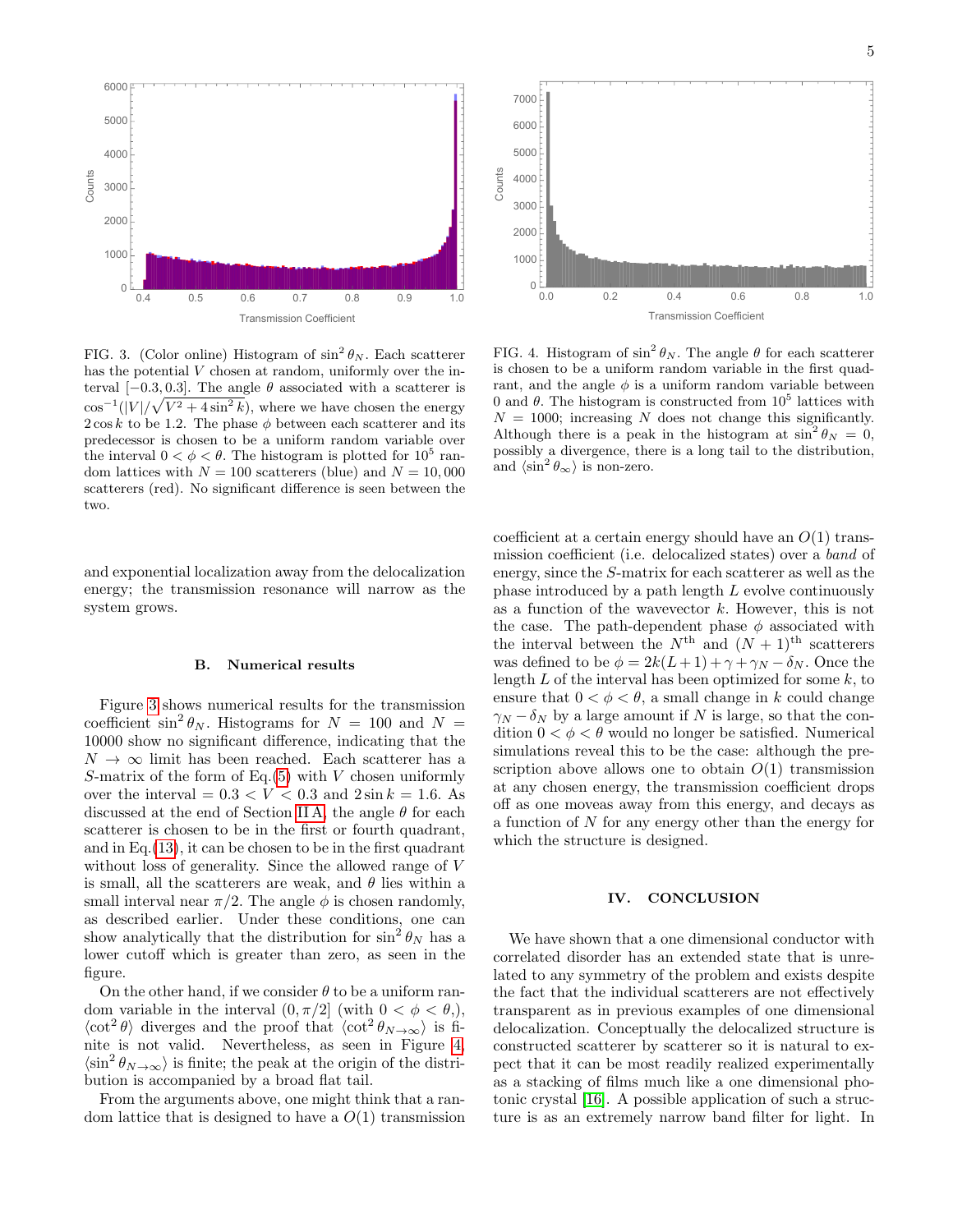

0.0 0.2 0.4 0.6 0.8 1.0  $\cap$ 1000 2000 3000 4000 5000 6000 7000 Transmission Coefficient Counts

<span id="page-4-0"></span>FIG. 3. (Color online) Histogram of  $\sin^2 \theta_N$ . Each scatterer has the potential V chosen at random, uniformly over the interval  $[-0.3, 0.3]$ . The angle  $\theta$  associated with a scatterer is  $\cos^{-1}(|V|/\sqrt{V^2+4\sin^2 k})$ , where we have chosen the energy  $2 \cos k$  to be 1.2. The phase  $\phi$  between each scatterer and its predecessor is chosen to be a uniform random variable over the interval  $0 < \phi < \theta$ . The histogram is plotted for  $10^5$  random lattices with  $N = 100$  scatterers (blue) and  $N = 10,000$ scatterers (red). No significant difference is seen between the two.

and exponential localization away from the delocalization energy; the transmission resonance will narrow as the system grows.

# B. Numerical results

Figure [3](#page-4-0) shows numerical results for the transmission coefficient  $\sin^2 \theta_N$ . Histograms for  $N = 100$  and  $N =$ 10000 show no significant difference, indicating that the  $N \to \infty$  limit has been reached. Each scatterer has a S-matrix of the form of Eq.[\(5\)](#page-1-5) with  $V$  chosen uniformly over the interval =  $0.3 < V < 0.3$  and  $2 \sin k = 1.6$ . As discussed at the end of Section [II A,](#page-1-7) the angle  $\theta$  for each scatterer is chosen to be in the first or fourth quadrant, and in Eq.[\(13\)](#page-2-4), it can be chosen to be in the first quadrant without loss of generality. Since the allowed range of V is small, all the scatterers are weak, and  $\theta$  lies within a small interval near  $\pi/2$ . The angle  $\phi$  is chosen randomly, as described earlier. Under these conditions, one can show analytically that the distribution for  $\sin^2 \theta_N$  has a lower cutoff which is greater than zero, as seen in the figure.

On the other hand, if we consider  $\theta$  to be a uniform random variable in the interval  $(0, \pi/2]$  (with  $0 < \phi < \theta$ ),  $\langle \cot^2 \theta \rangle$  diverges and the proof that  $\langle \cot^2 \theta_{N \to \infty} \rangle$  is finite is not valid. Nevertheless, as seen in Figure [4,](#page-4-1)  $\langle \sin^2 \theta_{N \to \infty} \rangle$  is finite; the peak at the origin of the distribution is accompanied by a broad flat tail.

From the arguments above, one might think that a random lattice that is designed to have a  $O(1)$  transmission

<span id="page-4-1"></span>FIG. 4. Histogram of  $\sin^2 \theta_N$ . The angle  $\theta$  for each scatterer is chosen to be a uniform random variable in the first quadrant, and the angle  $\phi$  is a uniform random variable between 0 and  $\theta$ . The histogram is constructed from  $10^5$  lattices with  $N = 1000$ ; increasing N does not change this significantly. Although there is a peak in the histogram at  $\sin^2 \theta_N = 0$ , possibly a divergence, there is a long tail to the distribution, and  $\langle \sin^2 \theta_{\infty} \rangle$  is non-zero.

coefficient at a certain energy should have an  $O(1)$  transmission coefficient (i.e. delocalized states) over a band of energy, since the S-matrix for each scatterer as well as the phase introduced by a path length L evolve continuously as a function of the wavevector  $k$ . However, this is not the case. The path-dependent phase  $\phi$  associated with the interval between the  $N^{\text{th}}$  and  $(N+1)^{\text{th}}$  scatterers was defined to be  $\phi = 2k(L+1) + \gamma + \gamma_N - \delta_N$ . Once the length  $L$  of the interval has been optimized for some  $k$ , to ensure that  $0 < \phi < \theta$ , a small change in k could change  $\gamma_N - \delta_N$  by a large amount if N is large, so that the condition  $0 < \phi < \theta$  would no longer be satisfied. Numerical simulations reveal this to be the case: although the prescription above allows one to obtain  $O(1)$  transmission at any chosen energy, the transmission coefficient drops off as one moveas away from this energy, and decays as a function of N for any energy other than the energy for which the structure is designed.

# IV. CONCLUSION

We have shown that a one dimensional conductor with correlated disorder has an extended state that is unrelated to any symmetry of the problem and exists despite the fact that the individual scatterers are not effectively transparent as in previous examples of one dimensional delocalization. Conceptually the delocalized structure is constructed scatterer by scatterer so it is natural to expect that it can be most readily realized experimentally as a stacking of films much like a one dimensional photonic crystal [\[16\]](#page-5-15). A possible application of such a structure is as an extremely narrow band filter for light. In